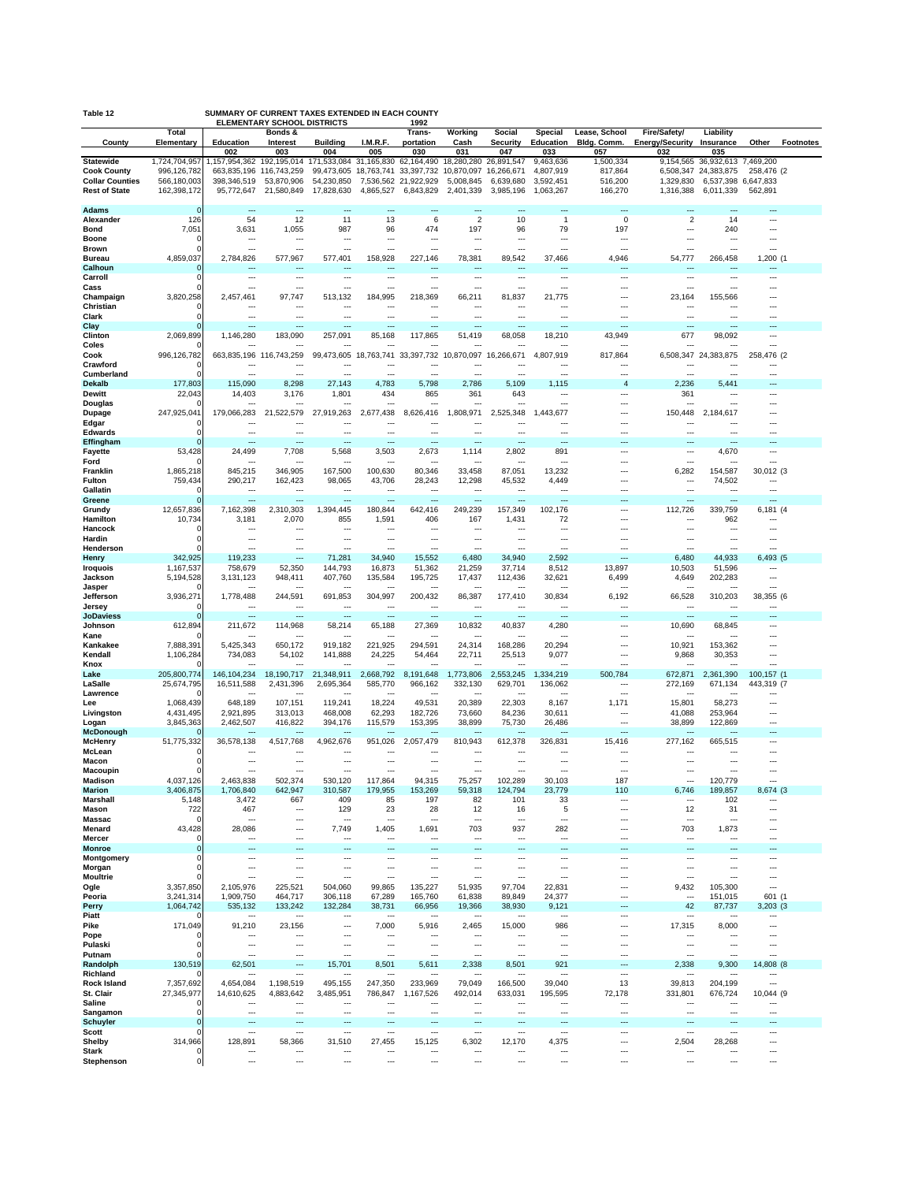| SUMMARY OF CURRENT TAXES EXTENDED IN EACH<br>Table 12<br><b>COUNT)</b><br><b>ELEMENTARY SCHOOL DISTRICTS</b><br>1992 |                            |                                                             |                                     |                          |                                     |                                    |                                 |                         |                                 |                          |                               |                          |                          |                  |
|----------------------------------------------------------------------------------------------------------------------|----------------------------|-------------------------------------------------------------|-------------------------------------|--------------------------|-------------------------------------|------------------------------------|---------------------------------|-------------------------|---------------------------------|--------------------------|-------------------------------|--------------------------|--------------------------|------------------|
|                                                                                                                      | Total                      |                                                             | Bonds &                             |                          |                                     | Trans-                             | Working                         | Social                  | <b>Special</b>                  | Lease, School            | Fire/Safety/                  | Liability                |                          |                  |
| County                                                                                                               | Elementary                 | Education<br>002                                            | Interest<br>003                     | <b>Building</b><br>004   | I.M.R.F.<br>005                     | portation<br>030                   | Cash<br>031                     | <b>Security</b><br>047  | Education<br>033                | Bldg. Comm.<br>057       | <b>Energy/Security</b><br>032 | Insurance<br>035         | Other                    | <b>Footnotes</b> |
| <b>Statewide</b>                                                                                                     | 1,724,704,957              | 1,157,954,362 192,195,014 171,533,084 31,165,830 62,164,490 |                                     |                          |                                     |                                    | 18,280,280 26,891,547           |                         | 9,463,636                       | 1,500,334                | 9,154,565                     | 36.932.613 7.469.200     |                          |                  |
| <b>Cook County</b><br><b>Collar Counties</b>                                                                         | 996,126,782<br>566,180,003 | 663,835,196<br>398,346,519                                  | 116,743,259<br>53,870,906           | 99,473,605<br>54,230,850 | 18,763,741                          | 33,397,732<br>7,536,562 21,922,929 | 10,870,097<br>5,008,845         | 16,266,671<br>6,639,680 | 4,807,919<br>3,592,451          | 817,864<br>516,200       | 6,508,347<br>1,329,830        | 24,383,875<br>6,537,398  | 258,476 (2<br>6,647,833  |                  |
| <b>Rest of State</b>                                                                                                 | 162,398,172                | 95.772.647                                                  | 21,580,849                          | 17,828,630               | 4,865,527                           | 6,843,829                          | 2,401,339                       | 3.985.196               | 1,063,267                       | 166,270                  | 1,316,388                     | 6.011.339                | 562.891                  |                  |
| Adams                                                                                                                | O                          | $\overline{\phantom{a}}$                                    | ---                                 | ---                      | $\overline{\phantom{a}}$            | ---                                | ---                             | ---                     | $\overline{a}$                  | ---                      | ---                           | ---                      | ---                      |                  |
| Alexander                                                                                                            | 126                        | 54                                                          | 12                                  | 11                       | 13                                  | 6                                  | $\overline{2}$                  | 10                      | $\mathbf{1}$                    | 0                        | $\overline{c}$                | 14                       |                          |                  |
| <b>Bond</b>                                                                                                          | 7,051                      | 3,631                                                       | 1,055                               | 987                      | 96                                  | 474                                | 197                             | 96                      | 79                              | 197                      | ---                           | 240                      | ---                      |                  |
| Boone<br><b>Brown</b>                                                                                                |                            | ---                                                         | ---<br>---                          | ---<br>---               | ---<br>$\sim$                       | ---<br>---                         | ---<br>$\overline{\phantom{a}}$ | $---$<br>---            | ---<br>$\overline{\phantom{a}}$ | ---<br>---               | ---<br>                       | ---<br>---               | ---<br>---               |                  |
| <b>Bureau</b>                                                                                                        | 4,859,037                  | 2,784,826                                                   | 577,967                             | 577,401                  | 158,928                             | 227,146                            | 78,381                          | 89,542                  | 37,466                          | 4,946                    | 54.777                        | 266,458                  | 1,200 (1                 |                  |
| Calhoun<br>Carroll                                                                                                   | 0                          | ---                                                         | ---<br>---                          | …                        |                                     | ---                                | ---<br>---                      | ---<br>---              | $\overline{a}$<br>---           |                          | ---                           | ---                      | ---                      |                  |
| Cass                                                                                                                 | C                          | ---                                                         | ---                                 |                          |                                     |                                    | ---                             |                         |                                 | ---                      |                               |                          |                          |                  |
| Champaign                                                                                                            | 3,820,258                  | 2,457,461                                                   | 97,747                              | 513,132                  | 184,995                             | 218,369                            | 66,211                          | 81,837                  | 21,775                          | ---                      | 23,164                        | 155,566                  |                          |                  |
| Christian<br>Clark                                                                                                   |                            | ---                                                         | ---                                 |                          |                                     | ---                                |                                 | ---                     | ---                             |                          |                               |                          |                          |                  |
| Clay                                                                                                                 |                            | ---                                                         | $\overline{\phantom{a}}$            | ---                      | ---                                 | $\overline{a}$                     | ---                             | ---                     | ---                             | $\overline{a}$           | ---                           | $\overline{a}$           |                          |                  |
| Clinton<br>Coles                                                                                                     | 2,069,899                  | 1,146,280                                                   | 183,090                             | 257,091                  | 85,168                              | 117,865                            | 51,419                          | 68,058                  | 18,210                          | 43,949                   | 677                           | 98,092                   |                          |                  |
| Cook                                                                                                                 | 996,126,782                |                                                             | 663,835,196 116,743,259             |                          |                                     | 99,473,605 18,763,741 33,397,732   |                                 | 10,870,097 16,266,671   | 4,807,919                       | 817,864                  |                               | 6,508,347 24,383,875     | 258,476 (2               |                  |
| Crawford                                                                                                             |                            |                                                             | $\overline{\phantom{a}}$            |                          |                                     | ⊷                                  |                                 |                         |                                 |                          |                               |                          |                          |                  |
| Cumberland<br><b>Dekalb</b>                                                                                          | 177,803                    | ---<br>115,090                                              | ---<br>8,298                        | …<br>27,143              | ---<br>4,783                        | ---<br>5,798                       | ---<br>2,786                    | ---<br>5,109            | ---<br>1,115                    | ---<br>$\overline{4}$    | ---<br>2,236                  | ---<br>5,441             | ---<br>---               |                  |
| Dewitt                                                                                                               | 22,043                     | 14,403                                                      | 3,176                               | 1,801                    | 434                                 | 865                                | 361                             | 643                     | ---                             | ---                      | 361                           |                          | ---                      |                  |
| Douglas<br><b>Dupage</b>                                                                                             | 247,925,041                | 179,066,283                                                 | 21,522,579                          | 27,919,263               | 2,677,438                           | 8,626,416                          | 1,808,971                       | 2,525,348               | ---<br>1,443,677                | ---<br>---               | 150,448                       | 2,184,617                |                          |                  |
| Edgar                                                                                                                |                            |                                                             | ---                                 |                          |                                     | --                                 |                                 | ---                     | ---                             | ---                      |                               |                          |                          |                  |
| <b>Edwards</b>                                                                                                       |                            | ---                                                         | ---                                 |                          | ---                                 | ---                                | ---                             | ---                     | ---                             | ---                      |                               |                          |                          |                  |
| Effingham<br>Fayette                                                                                                 | 53,428                     | ---<br>24,499                                               | ---<br>7,708                        | ---<br>5,568             | $\overline{\phantom{a}}$<br>3,503   | ---<br>2,673                       | ---<br>1,114                    | ---<br>2,802            | ---<br>891                      | ---<br>---               | ---<br>---                    | ---<br>4,670             | ---<br>---               |                  |
| Ford                                                                                                                 |                            |                                                             |                                     |                          |                                     | --                                 |                                 |                         |                                 | $\sim$                   | ---                           |                          | ---                      |                  |
| Franklin<br>Fulton                                                                                                   | 1,865,218<br>759,434       | 845,215<br>290,217                                          | 346,905<br>162,423                  | 167,500<br>98,065        | 100,630<br>43,706                   | 80,346<br>28,243                   | 33,458<br>12,298                | 87,051<br>45,532        | 13,232<br>4,449                 | ---<br>---               | 6,282<br>---                  | 154,587<br>74,502        | 30,012 (3<br>---         |                  |
| Gallatin                                                                                                             |                            | ---                                                         | ---                                 | …                        |                                     | ---                                | ---                             | ---                     | ---                             | ---                      | ---                           | ---                      | ---                      |                  |
| Greene                                                                                                               |                            | ---                                                         | $-$                                 | ---                      | ---                                 | ---                                | ---                             |                         | ---                             | $\overline{\phantom{a}}$ | $\overline{a}$                | ---                      | ---                      |                  |
| Grundy<br>Hamilton                                                                                                   | 12,657,836<br>10,734       | 7,162,398<br>3,181                                          | 2,310,303<br>2,070                  | 1,394,445<br>855         | 180,844<br>1,591                    | 642,416<br>406                     | 249,239<br>167                  | 157,349<br>1,431        | 102,176<br>72                   | ---                      | 112,726                       | 339,759<br>962           | 6,181 (4                 |                  |
| Hancock                                                                                                              |                            |                                                             |                                     | ⊷                        |                                     |                                    |                                 |                         |                                 |                          |                               |                          |                          |                  |
| Hardin<br>Henderson                                                                                                  |                            | $\overline{\phantom{a}}$                                    | ---<br>---                          | ---                      | ---                                 | ---                                | ---                             | ---                     | ---                             | ---                      | ---                           | ---                      | ---                      |                  |
| <b>Henry</b>                                                                                                         | 342,925                    | 119,233                                                     | ---                                 | 71,281                   | 34,940                              | 15,552                             | 6,480                           | 34,940                  | 2,592                           | ---                      | 6,480                         | 44,933                   | 6,493 (5                 |                  |
| Iroquois                                                                                                             | 1,167,537                  | 758,679                                                     | 52,350                              | 144,793                  | 16,873                              | 51,362                             | 21,259                          | 37,714                  | 8,512                           | 13,897                   | 10,503                        | 51,596                   | ---<br>---               |                  |
| Jackson<br>Jasper                                                                                                    | 5,194,528                  | 3,131,123                                                   | 948,411                             | 407,760                  | 135,584                             | 195,725                            | 17,437                          | 112,436                 | 32,621<br>---                   | 6,499                    | 4,649                         | 202,283                  | ---                      |                  |
| Jefferson                                                                                                            | 3,936,271                  | 1,778,488                                                   | 244,591                             | 691,853                  | 304,997                             | 200,432                            | 86,387                          | 177,410                 | 30,834                          | 6,192                    | 66,528                        | 310,203                  | 38,355 (6                |                  |
| Jersey<br><b>JoDaviess</b>                                                                                           |                            | ---                                                         | ---<br>---                          | ---<br>---               | ---                                 | ---<br>---                         | ---<br>---                      | ---<br>---              | ---<br>---                      |                          | ---                           | ---                      | ---                      |                  |
| Johnson                                                                                                              | 612,894                    | 211,672                                                     | 114,968                             | 58,214                   | 65,188                              | 27,369                             | 10,832                          | 40,837                  | 4,280                           | ---                      | 10,690                        | 68,845                   | ---                      |                  |
| Kane<br>Kankakee                                                                                                     | 7,888,391                  |                                                             | $\overline{\phantom{a}}$<br>650,172 | 919,182                  | $\overline{\phantom{a}}$<br>221,925 | $\overline{a}$<br>294,591          | ---<br>24,314                   | $---$<br>168,286        | ---<br>20,294                   | ---<br>---               | $\overline{a}$<br>10,921      | ---<br>153,362           | ---                      |                  |
| Kendall                                                                                                              | 1,106,284                  | 5,425,343<br>734,083                                        | 54,102                              | 141,888                  | 24,225                              | 54,464                             | 22,711                          | 25,513                  | 9,077                           | ---                      | 9,868                         | 30,353                   | ---                      |                  |
| Knox                                                                                                                 |                            |                                                             |                                     |                          |                                     |                                    |                                 |                         | ---                             |                          |                               |                          | ---                      |                  |
| Lake<br>LaSalle                                                                                                      | 205,800,774<br>25,674,795  | 146, 104, 234<br>16,511,588                                 | 18,190,717<br>2,431,396             | 21,348,911<br>2,695,364  | 2,668,792<br>585,770                | 8,191,648<br>966,162               | ,773,806<br>332,130             | 2,553,245<br>629,701    | 1,334,219<br>136,062            | 500,784<br>---           | 672,871<br>272,169            | 2,361,390<br>671,134     | 100,157 (1<br>443,319 (7 |                  |
| Lawrence                                                                                                             |                            |                                                             | ---                                 |                          |                                     | ---                                |                                 |                         | ---                             | ---                      |                               |                          |                          |                  |
| Lee<br>Livingston                                                                                                    | 1,068,439<br>4,431,495     | 648,189<br>2,921,895                                        | 107,151<br>313,013                  | 119,241<br>468,008       | 18,224<br>62,293                    | 49,531<br>182,726                  | 20,389<br>73,660                | 22,303<br>84,236        | 8,167<br>30,611                 | 1,171                    | 15,801<br>41,088              | 58,273<br>253,964        |                          |                  |
| Logan                                                                                                                | 3,845,363                  | 2,462,507                                                   | 416,822                             | 394,176                  | 115,579                             | 153,395                            | 38,899                          | 75,730                  | 26,486                          | ---                      | 38,899                        | 122,869                  | ---                      |                  |
| <b>McDonough</b>                                                                                                     | 51,775,332                 | 36,578,138                                                  | 4,517,768                           | 4,962,676                | 951,026                             | 2,057,479                          | 810,943                         | 612,378                 |                                 |                          | 277,162                       |                          |                          |                  |
| <b>McHenry</b><br>McLean                                                                                             | Ð                          |                                                             |                                     |                          |                                     |                                    |                                 |                         | 326,831                         | 15,416                   |                               | 665,515                  | ---                      |                  |
| Macon                                                                                                                | 0                          | ---                                                         | ---                                 |                          |                                     |                                    |                                 |                         |                                 |                          |                               |                          |                          |                  |
| Macoupin<br>Madiso                                                                                                   | 0<br>4,037,126             | ---<br>2,463,838                                            | ---<br>502,374                      | …<br>530,120             | 117,864                             | 94,315                             | ---<br>75,257                   | …<br>102,289            | 30,103                          | 187                      | ---                           | 120,779                  |                          |                  |
| <b>Marion</b>                                                                                                        | 3,406,875                  | 1,706,840                                                   | 642,947                             | 310,587                  | 179,955                             | 153,269                            | 59,318                          | 124,794                 | 23,779                          | 110                      | 6,746                         | 189,857                  | 8,674 (3                 |                  |
| <b>Marshall</b><br>Mason                                                                                             | 5,148<br>722               | 3,472<br>467                                                | 667<br>$\overline{\phantom{a}}$     | 409<br>129               | 85<br>23                            | 197<br>28                          | 82<br>12                        | 101<br>16               | 33<br>5                         | ---<br>---               | ---<br>12                     | 102<br>31                | ---<br>---               |                  |
| Massac                                                                                                               |                            | ---                                                         | ---                                 |                          | $\sim$                              | ---                                | ---                             | ---                     | ---                             | ---                      | ---                           | ---                      | ---                      |                  |
| Menard<br>Mercer                                                                                                     | 43,428<br>$\Omega$         | 28,086<br>$\overline{\phantom{a}}$                          | ---<br>---                          | 7,749<br>---             | 1,405<br>$\overline{\phantom{a}}$   | 1,691<br>---                       | 703<br>---                      | 937<br>                 | 282<br>---                      | ---<br>---               | 703<br>---                    | 1,873<br>$- - -$         | ---<br>---               |                  |
| <b>Monroe</b>                                                                                                        | 0                          |                                                             | ---                                 |                          |                                     |                                    |                                 |                         |                                 | ⊷                        | ---                           |                          | ┄                        |                  |
| Montgomery                                                                                                           | $\Omega$<br>$\Omega$       | <br>                                                        | ---<br>$\overline{\phantom{a}}$     | ---<br>---               | ---<br>---                          | ---<br>---                         | ---<br>---                      | ---<br>---              | ---<br>---                      | ---<br>---               | ---<br>---                    | ---<br>---               | ---<br>---               |                  |
| Morgan<br><b>Moultrie</b>                                                                                            | п                          | ---                                                         | $\sim$                              | ---                      | $\overline{\phantom{a}}$            | ---                                | ---                             | ---                     | ---                             | ---                      | ---                           | ---                      | ---                      |                  |
| Ogle                                                                                                                 | 3,357,850                  | 2,105,976                                                   | 225,521                             | 504.060                  | 99,865                              | 135,227                            | 51,935                          | 97,704                  | 22,831                          |                          | 9,432                         | 105,300                  |                          |                  |
| Peoria<br>Perry                                                                                                      | 3,241,314<br>1,064,742     | 1,909,750<br>535,132                                        | 464,717<br>133,242                  | 306,118<br>132,284       | 67,289<br>38,731                    | 165,760<br>66,956                  | 61,838<br>19,366                | 89,849<br>38,930        | 24,377<br>9,121                 | ---<br>---               | $\overline{a}$<br>42          | 151,015<br>87,737        | 601 (1<br>$3,203$ $(3)$  |                  |
| Piatt                                                                                                                |                            | $\overline{\phantom{a}}$                                    | $\cdots$                            | ---                      | $\overline{\phantom{a}}$            | $\sim$                             | ---                             |                         | $\overline{\phantom{a}}$        | ---                      | ---                           | $\overline{\phantom{a}}$ | ---                      |                  |
| Pike                                                                                                                 | 171,049<br>Ð               | 91,210<br>---                                               | 23,156<br>$-$                       | <br>---                  | 7,000<br>$\overline{\phantom{a}}$   | 5,916<br>---                       | 2,465<br>---                    | 15,000<br>$---$         | 986<br>---                      | ---<br>---               | 17,315<br>$\overline{a}$      | 8,000<br>---             | <br>---                  |                  |
| Pope<br>Pulaski                                                                                                      | 0                          | ---                                                         | ---                                 |                          | $\overline{\phantom{a}}$            | ---                                |                                 | ---                     | ---                             |                          | ---                           | ---                      | ---                      |                  |
| Putnam                                                                                                               | $\Omega$                   | $\overline{a}$                                              | ---                                 |                          | ---                                 | ---                                | ---                             |                         | ---                             | ---                      | $\overline{\phantom{a}}$      | ---                      | ---                      |                  |
| Randolph<br>Richland                                                                                                 | 130,519                    | 62,501                                                      | $\overline{\phantom{a}}$<br>---     | 15,701<br>               | 8,501                               | 5,611                              | 2,338                           | 8,501<br>---            | 921<br>---                      | ---<br>                  | 2,338                         | 9,300                    | 14,808 (8<br>            |                  |
| <b>Rock Island</b>                                                                                                   | 7,357,692                  | 4,654,084                                                   | 1,198,519                           | 495,155                  | 247,350                             | 233,969                            | 79,049                          | 166,500                 | 39,040                          | 13                       | 39,813                        | 204,199                  | ---                      |                  |
| St. Clair<br>Saline                                                                                                  | 27,345,977                 | 14,610,625                                                  | 4,883,642                           | 3,485,951                | 786,847                             | 1,167,526                          | 492,014                         | 633,031                 | 195,595                         | 72,178                   | 331,801                       | 676,724                  | 10,044 (9                |                  |
| Sangamon                                                                                                             | $\Omega$                   | ---                                                         | ---                                 | ---                      | $\overline{\phantom{a}}$            | ---                                | ---                             | ---                     | ---                             | ---                      | ---                           | ---                      | ---                      |                  |
| <b>Schuyler</b>                                                                                                      | 0                          | $\overline{a}$                                              | ---                                 |                          | $\overline{\phantom{a}}$            | $\overline{a}$                     | ---                             | ---                     | ---                             | ---                      | $\overline{a}$                | ---                      | ---                      |                  |
| Scott<br>Shelby                                                                                                      | 314,966                    | 128,891                                                     | ---<br>58,366                       | <br>31,510               | ---<br>27,455                       | ---<br>15,125                      | ---<br>6,302                    | ---<br>12,170           | ---<br>4,375                    | ---<br>---               | ---<br>2,504                  | ---<br>28,268            | ---<br>---               |                  |
| Stark                                                                                                                | п                          | ---                                                         | ---                                 | ---                      | ---                                 | ---                                | ---                             | ---                     | ---                             | ---                      | ---                           | ---                      | ---                      |                  |
| Stephenson                                                                                                           | 0                          |                                                             | ---                                 | ---                      |                                     | ---                                | ---                             | ---                     | ---                             | ---                      |                               | ---                      |                          |                  |